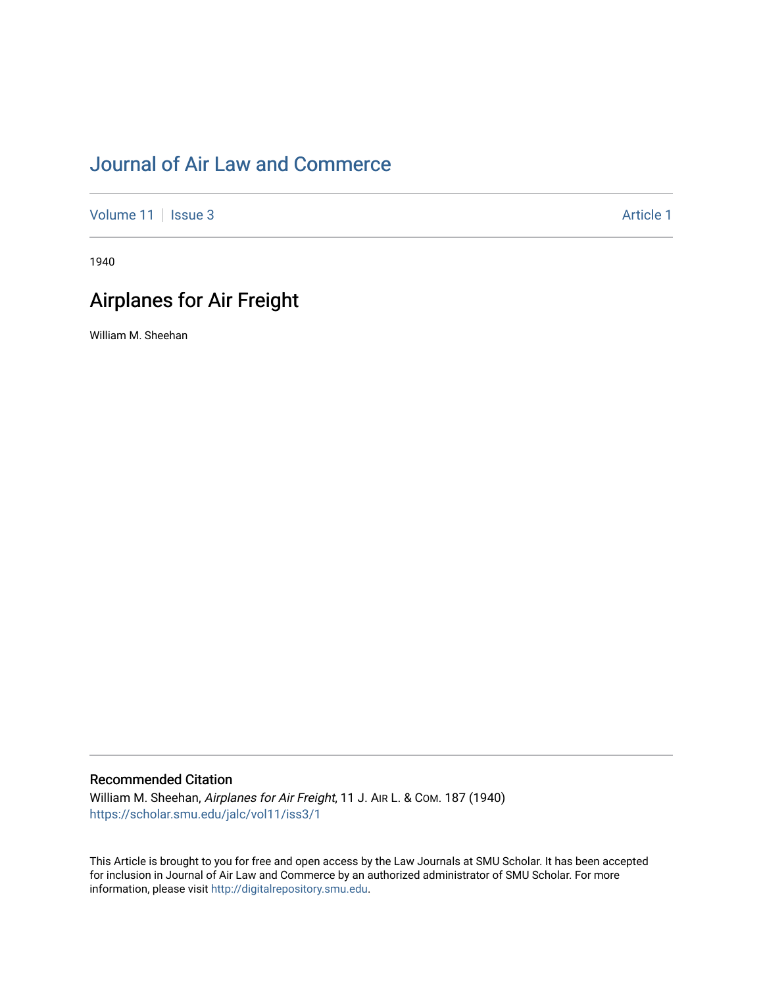# [Journal of Air Law and Commerce](https://scholar.smu.edu/jalc)

[Volume 11](https://scholar.smu.edu/jalc/vol11) | [Issue 3](https://scholar.smu.edu/jalc/vol11/iss3) Article 1

1940

# Airplanes for Air Freight

William M. Sheehan

# Recommended Citation

William M. Sheehan, Airplanes for Air Freight, 11 J. AIR L. & COM. 187 (1940) [https://scholar.smu.edu/jalc/vol11/iss3/1](https://scholar.smu.edu/jalc/vol11/iss3/1?utm_source=scholar.smu.edu%2Fjalc%2Fvol11%2Fiss3%2F1&utm_medium=PDF&utm_campaign=PDFCoverPages) 

This Article is brought to you for free and open access by the Law Journals at SMU Scholar. It has been accepted for inclusion in Journal of Air Law and Commerce by an authorized administrator of SMU Scholar. For more information, please visit [http://digitalrepository.smu.edu](http://digitalrepository.smu.edu/).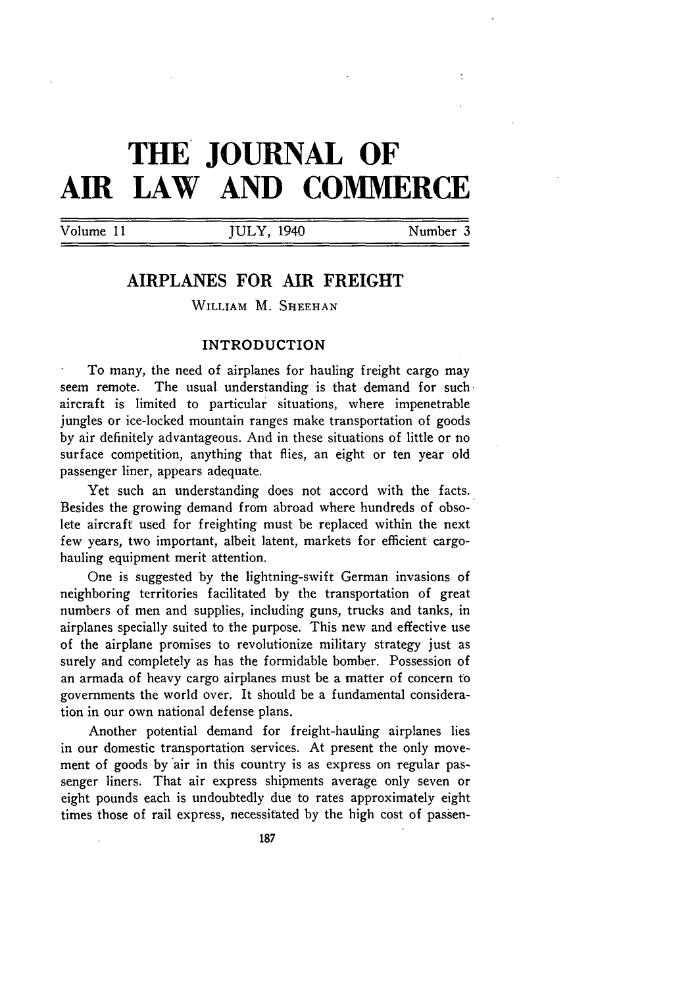# **THE JOURNAL OF AIR LAW AND COMMERCE**

Volume 11 **JULY**, 1940 Number 3

# **AIRPLANES FOR AIR FREIGHT**

WILLIAM M. **SHEEHAN**

# INTRODUCTION

To many, the need of airplanes for hauling freight cargo may seem remote. The usual understanding is that demand for such. aircraft is limited to particular situations, where impenetrable jungles or ice-locked mountain ranges make transportation of goods by air definitely advantageous. And in these situations of little or no surface competition, anything that flies, an eight or ten year old passenger liner, appears adequate.

Yet such an understanding does not accord with the facts. Besides the growing demand from abroad where hundreds of obsolete aircraft used for freighting must be replaced within the next few years, two important, albeit latent, markets for efficient cargohauling equipment merit attention.

One is suggested by the lightning-swift German invasions of neighboring territories facilitated by the transportation of great numbers of men and supplies, including guns, trucks and tanks, in airplanes specially suited to the purpose. This new and effective use of the airplane promises to revolutionize military strategy just as surely and completely as has the formidable bomber. Possession of an armada of heavy cargo airplanes must be a matter of concern to governments the world over. It should be a fundamental consideration in our own national defense plans.

Another potential demand for freight-hauling airplanes lies in our domestic transportation services. At present the only movement of goods by air in this country is as express on regular passenger liners. That air express shipments average only seven or eight pounds each is undoubtedly due to rates approximately eight times those of rail express, necessitated by the high cost of passen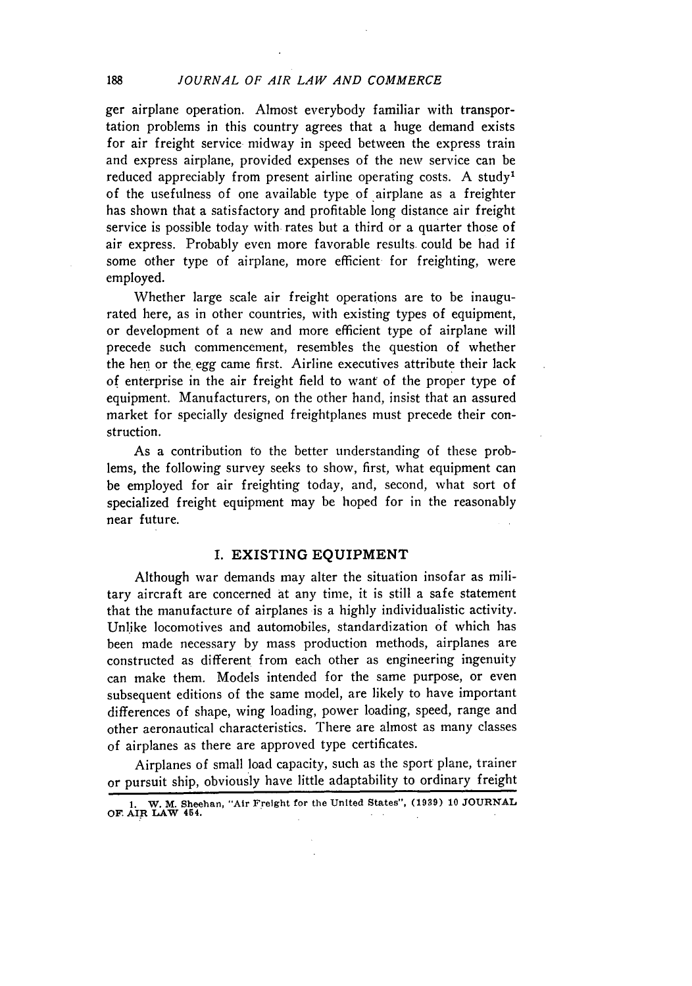ger airplane operation. Almost everybody familiar with transportation problems in this country agrees that a huge demand exists for air freight service midway in speed between the express train and express airplane, provided expenses of the new service can be reduced appreciably from present airline operating costs. A study<sup>1</sup> of the usefulness of one available type of airplane as a freighter has shown that a satisfactory and profitable long distance air freight service is possible today with rates but a third or a quarter those of air express. Probably even more favorable results. could be had if some other type of airplane, more efficient for freighting, were employed.

Whether large scale air freight operations are to be inaugurated here, as in other countries, with existing types of equipment, or development of a new and more efficient type of airplane will precede such commencement, resembles the question of whether the hen or the. egg came first. Airline executives attribute their lack of enterprise in the air freight field to want of the proper type of equipment. Manufacturers, on the other hand, insist that an assured market for specially designed freightplanes must precede their construction.

As a contribution to the better understanding of these problems, the following survey seeks to show, first, what equipment can be employed for air freighting today, and, second, what sort of specialized freight equipment may be hoped for in the reasonably near future.

#### I. EXISTING **EQUIPMENT**

Although war demands may alter the situation insofar as military aircraft are concerned at any time, it is still a safe statement that the manufacture of airplanes is a highly individualistic activity. Unlike locomotives and automobiles, standardization of which has been made necessary by mass production methods, airplanes are constructed as different from each other as engineering ingenuity can make them. Models intended for the same purpose, or even subsequent editions of the same model, are likely to have important differences of shape, wing loading, power loading, speed, range and other aeronautical characteristics. There are almost as many classes of airplanes as there are approved type certificates.

Airplanes of small load capacity, such as the sport plane, trainer or pursuit ship, obviously have little adaptability to ordinary freight

188

**<sup>1.</sup> W. M. Sheehan,** "Air Freight for **tie** United States", **(1939) 10 JOURNAL OF. AIR LAW 454.**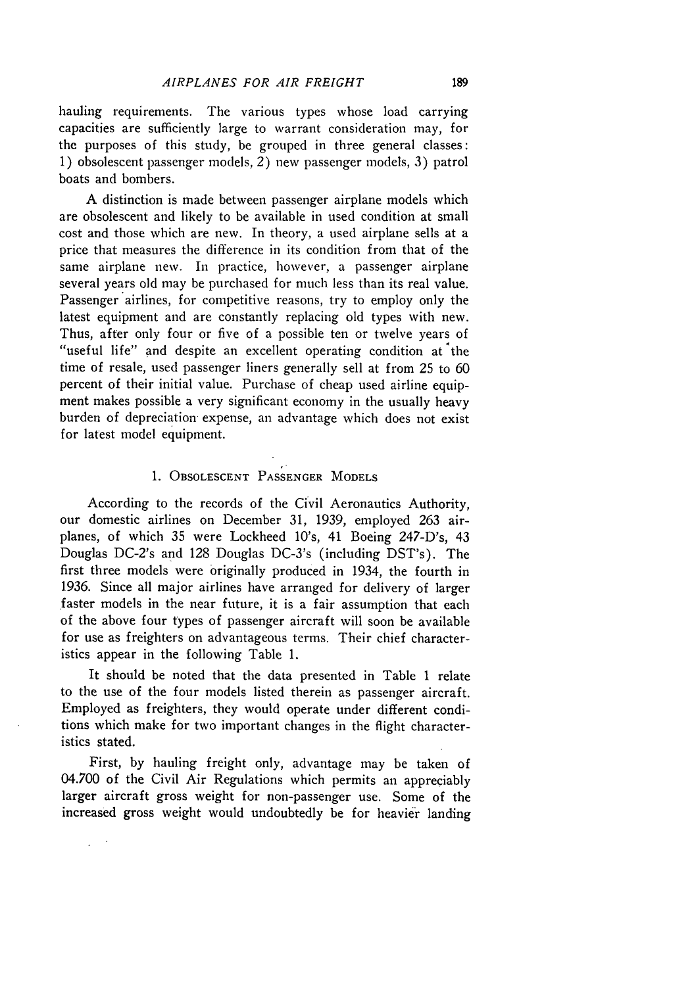hauling requirements. The various types whose load carrying capacities are sufficiently large to warrant consideration may, for the purposes of this study, **be** grouped in three general classes: 1) obsolescent passenger models, 2) new passenger models, 3) patrol boats and bombers.

A distinction is made between passenger airplane models which are obsolescent and likely to be available in used condition at small cost and those which are new. In theory, a used airplane sells at a price that measures the difference in its condition from that of the same airplane new. In practice, however, a passenger airplane several years old may be purchased for much less than its real value. Passenger airlines, for competitive reasons, try to employ only the latest equipment and are constantly replacing old types with new. Thus, after only four or five of a possible ten or twelve years of "useful life" and despite an excellent operating condition at the time of resale, used passenger liners generally sell at from 25 to 60 percent of their initial value. Purchase of cheap used airline equipment makes possible a very significant economy in the usually heavy burden of depreciation expense, an advantage which does not exist for latest model equipment.

# 1. OBSOLESCENT PASSENGER MODELS

According to the records of the Civil Aeronautics Authority, our domestic airlines on December 31, 1939, employed 263 airplanes, of which 35 were Lockheed 10's, 41 Boeing 247-D's, 43 Douglas DC-2's and 128 Douglas DC-3's (including DST's). The first three models were originally produced in 1934, the fourth in 1936. Since all major airlines have arranged for delivery of larger faster models in the near future, it is a fair assumption that each of the above four types of passenger aircraft will soon be available for use as freighters on advantageous terms. Their chief characteristics appear in the following Table 1.

It should be noted that the data presented in Table 1 relate to the use of the four models listed therein as passenger aircraft. Employed as freighters, they would operate under different conditions which make for two important changes in the flight characteristics stated.

First, by hauling freight only, advantage may be taken of 04.700 of the Civil Air Regulations which permits an appreciably larger aircraft gross weight for non-passenger use. Some of the increased gross weight would undoubtedly be for heavier landing

 $\overline{a}$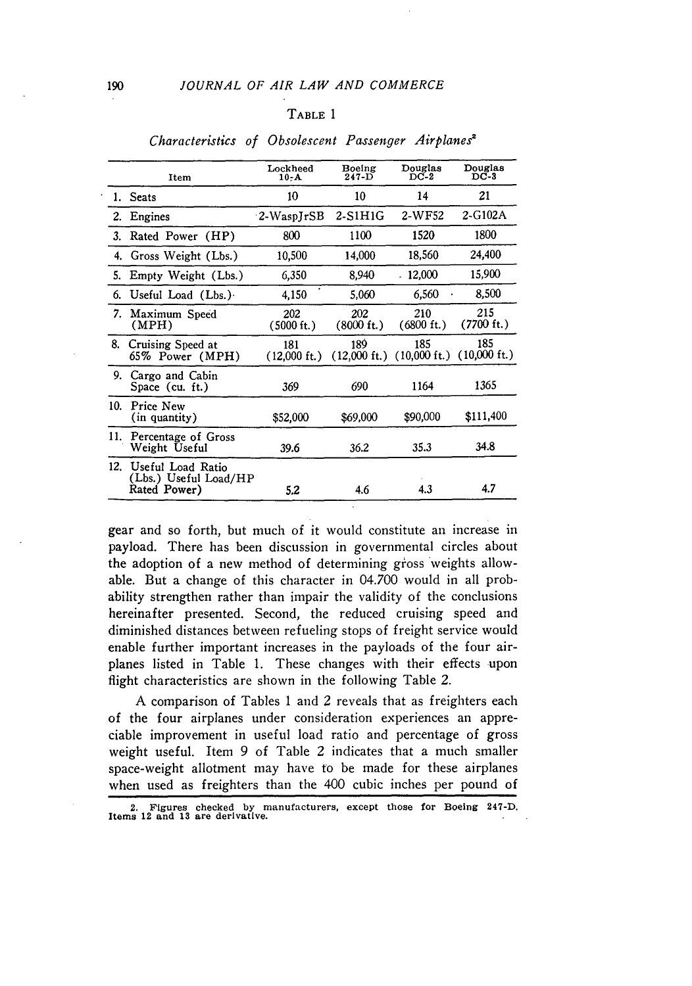# TABLE 1

|     | Item                                                       | Lockheed<br>$10 - A$          | Boeing<br>$247 - D$           | Douglas<br>$DC-2$             | Douglas<br>$DC-3$             |
|-----|------------------------------------------------------------|-------------------------------|-------------------------------|-------------------------------|-------------------------------|
|     | 1. Seats                                                   | 10                            | 10                            | 14                            | 21                            |
| 2.  | Engines                                                    | $2-WaspJrSB$                  | 2-S1H1G                       | 2-WF52                        | $2 - G102A$                   |
| 3.  | Rated Power (HP)                                           | 800                           | 1100                          | 1520                          | 1800                          |
| 4.  | Gross Weight (Lbs.)                                        | 10,500                        | 14,000                        | 18.560                        | 24,400                        |
| 5.  | Empty Weight (Lbs.)                                        | 6,350                         | 8,940                         | $-12,000$                     | 15,900                        |
| 6.  | Useful Load $(Lbs.)$                                       | 4,150                         | 5.060                         | 6.560                         | 8,500                         |
| 7.  | Maximum Speed<br>(MPH)                                     | 202<br>(5000 ft.)             | 202<br>$(8000 \text{ ft.})$   | 210<br>$(6800 \text{ ft.})$   | 215<br>(7700 ft.)             |
| 8.  | Cruising Speed at<br>65% Power (MPH)                       | 181<br>$(12,000 \text{ ft.})$ | 189<br>$(12,000 \text{ ft.})$ | 185<br>$(10,000 \text{ ft.})$ | 185<br>$(10,000 \text{ ft.})$ |
| 9.  | Cargo and Cabin<br>Space (cu. ft.)                         | 369                           | 690                           | 1164                          | 1365                          |
| 10. | Price New<br>(in quantity)                                 | \$52,000                      | \$69,000                      | \$90,000                      | \$111,400                     |
| 11. | Percentage of Gross<br>Weight Useful                       | 39.6                          | 36.2                          | 35.3                          | 34.8                          |
| 12. | Useful Load Ratio<br>(Lbs.) Useful Load/HP<br>Rated Power) | 5.2                           | 4.6                           | 4.3                           | 4.7                           |

#### *Characteristics of Obsolescent Passenger Airplanes'*

gear and so forth, but much of it would constitute an increase in payload. There has been discussion in governmental circles about the adoption of a new method of determining gross weights allowable. But a change of this character in 04.700 would in all probability strengthen rather than impair the validity of the conclusions hereinafter presented. Second, the reduced cruising speed and diminished distances between refueling stops of freight service would enable further important increases in the payloads of the four airplanes listed in Table **1.** These changes with their effects upon flight characteristics are shown in the following Table 2.

A comparison of Tables 1 and 2 reveals that as freighters each of the four airplanes under consideration experiences an appreciable improvement in useful load ratio and percentage of gross weight useful. Item 9 of Table 2 indicates that a much smaller space-weight allotment may have to be made for these airplanes when used as freighters than the 400 cubic inches per pound of

<sup>2.</sup> Figures checked **by** manufacturers, except those **for Boeing** 247-D. **Items 12 and 13 are derivative.**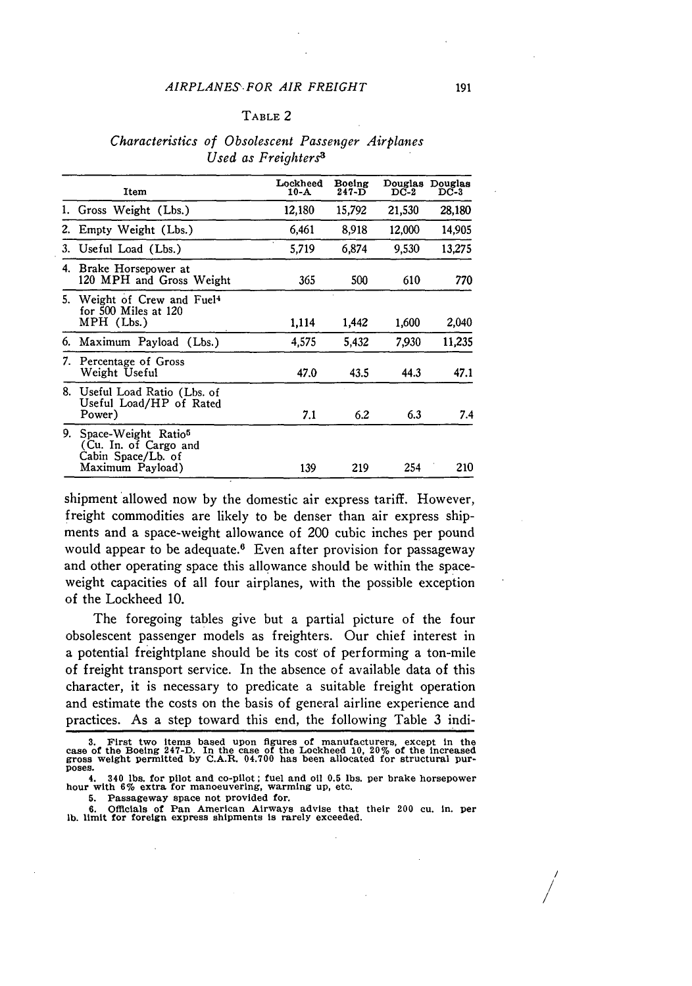#### TABLE 2

# *Characteristics of Obsolescent Passenger Airplanes Used as Freighters3*

|    | Item                                                                                               | Lockheed<br>10-A | Boeing<br>$247 - D$ | Douglas<br>$_{\rm DC-2}$ | Douglas<br>$_{\rm DC-3}$ |
|----|----------------------------------------------------------------------------------------------------|------------------|---------------------|--------------------------|--------------------------|
| 1. | Gross Weight (Lbs.)                                                                                | 12,180           | 15,792              | 21,530                   | 28,180                   |
| 2. | Empty Weight (Lbs.)                                                                                | 6.461            | 8,918               | 12,000                   | 14.905                   |
|    | 3. Useful Load (Lbs.)                                                                              | 5.719            | 6,874               | 9,530                    | 13,275                   |
|    | 4. Brake Horsepower at<br>120 MPH and Gross Weight                                                 | 365              | 500                 | 610                      | 770                      |
|    | 5. Weight of Crew and Fuel <sup>4</sup><br>for 500 Miles at 120<br>MPH (Lbs.)                      | 1,114            | 1.442               | 1,600                    | 2,040                    |
|    | 6. Maximum Payload (Lbs.)                                                                          | 4,575            | 5,432               | 7,930                    | 11,235                   |
|    | 7. Percentage of Gross<br>Weight Useful                                                            | 47.0             | 43.5                | 44.3                     | 47.1                     |
|    | 8. Useful Load Ratio (Lbs. of<br>Useful Load/HP of Rated<br>Power)                                 | 7.1              | 6.2                 | 6.3                      | 7.4                      |
| 9. | Space-Weight Ratio <sup>5</sup><br>(Cu. In. of Cargo and<br>Cabin Space/Lb. of<br>Maximum Payload) | 139              | 219                 | 254                      | 210                      |

shipment 'allowed now **by** the domestic air express tariff. However, freight commodities are likely to be denser than air express shipments and a space-weight allowance of 200 cubic inches per pound would appear to be adequate.<sup>6</sup> Even after provision for passageway and other operating space this allowance should be within the spaceweight capacities of all four airplanes, with the possible exception of the Lockheed **10.**

The foregoing tables give but a partial picture of the four obsolescent passenger models as freighters. Our chief interest in a potential freightplane should be its cost of performing a ton-mile of freight transport service. In the absence of available data of this character, it is necessary to predicate a suitable freight operation and estimate the costs on the basis of general airline experience and practices. As a step toward this end, the following Table **3** indi-

**6. Officials of Pan American Airways advise that their 200 cu. in. per lb. limit** for foreign **express shipments is rarely exceeded.**

*/ / /*

<sup>3.</sup> First two items based upon figures of manufacturers, except in the case of the Boeing 247-D. In the case of the Lockheed 10, 20% of the increased gross weight permitted by C.A.R. 04.700 has been allocated for structural **poses.**

**<sup>4. 340</sup> lbs. for pilot and co-pilot; fuel and oil 0.5 lbs. per brake horsepower hour with 6% extra for manoeuvering, warming up, etc.**

**<sup>5.</sup>** Passageway space not provided for.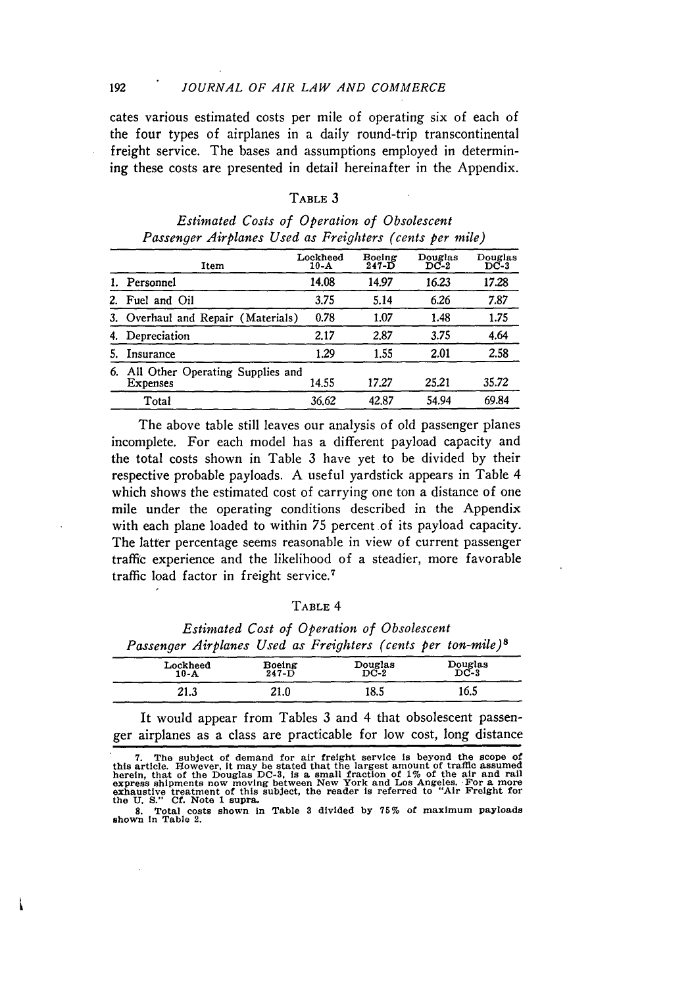#### *JOURNAL OF AIR LAW AND COMMERCE*

192

cates various estimated costs per mile of operating six of each of the four types of airplanes in a daily round-trip transcontinental freight service. The bases and assumptions employed in determining these costs are presented in detail hereinafter in the Appendix.

#### TABLE **3**

|    | Item                                                | Lockheed<br>$10-A$ | Boeing<br>$247 - D$ | Douglas<br>$DC-2$ | Douglas<br>$DC-3$ |
|----|-----------------------------------------------------|--------------------|---------------------|-------------------|-------------------|
|    | 1. Personnel                                        | 14.08              | 14.97               | 16.23             | 17.28             |
| 2. | Fuel and Oil                                        | 3.75               | 5.14                | 6.26              | 7.87              |
|    | 3. Overhaul and Repair (Materials)                  | 0.78               | 1.07                | 1.48              | 1.75              |
|    | Depreciation                                        | 2.17               | 2.87                | 3.75              | 4.64              |
|    | Insurance                                           | 1.29               | 1.55                | 2.01              | 2.58              |
| 6. | All Other Operating Supplies and<br><b>Expenses</b> | 14.55              | 17.27               | 25.21             | 35.72             |
|    | Total                                               | 36.62              | 42.87               | 54.94             | 69.84             |

|  | Estimated Costs of Operation of Obsolescent             |  |
|--|---------------------------------------------------------|--|
|  | Passenger Airplanes Used as Freighters (cents per mile) |  |

The above table still leaves our analysis of old passenger planes incomplete. For each model has a different payload capacity and the total costs shown in Table **3** have yet to be divided **by** their respective probable payloads. **A** useful yardstick appears in Table 4 which shows the estimated cost of carrying one ton a distance of one mile under the operating conditions described in the Appendix with each plane loaded to within **75** percent of its payload capacity. The latter percentage seems reasonable in view of current passenger traffic experience and the likelihood of a steadier, more favorable traffic load factor in freight service.<sup>7</sup>

#### TABLE 4

|                                                                          | Estimated Cost of Operation of Obsolescent |  |  |
|--------------------------------------------------------------------------|--------------------------------------------|--|--|
| Passenger Airplanes Used as Freighters (cents per ton-mile) <sup>8</sup> |                                            |  |  |

| Lockheed<br>$10 - A$ | Boeing<br>247-D | Douglas<br>DC-2 | Douglas<br>DC-3 |
|----------------------|-----------------|-----------------|-----------------|
| 21.3                 | 21.0            | 18.5            | 16.5            |

It would appear from Tables **3** and 4 that obsolescent passenger airplanes as a class are practicable for low cost, long distance

<sup>7.</sup> The subject of demand for air freight service is beyond the scope of this article. However, it may be stated that the largest amount of traffic assumed herein, that of the Douglas DC-3, is a small fraction of 1% of the

**<sup>8.</sup> Total costs shown in Table 3 divided by 75% of maximum payloads shown in Table 2.**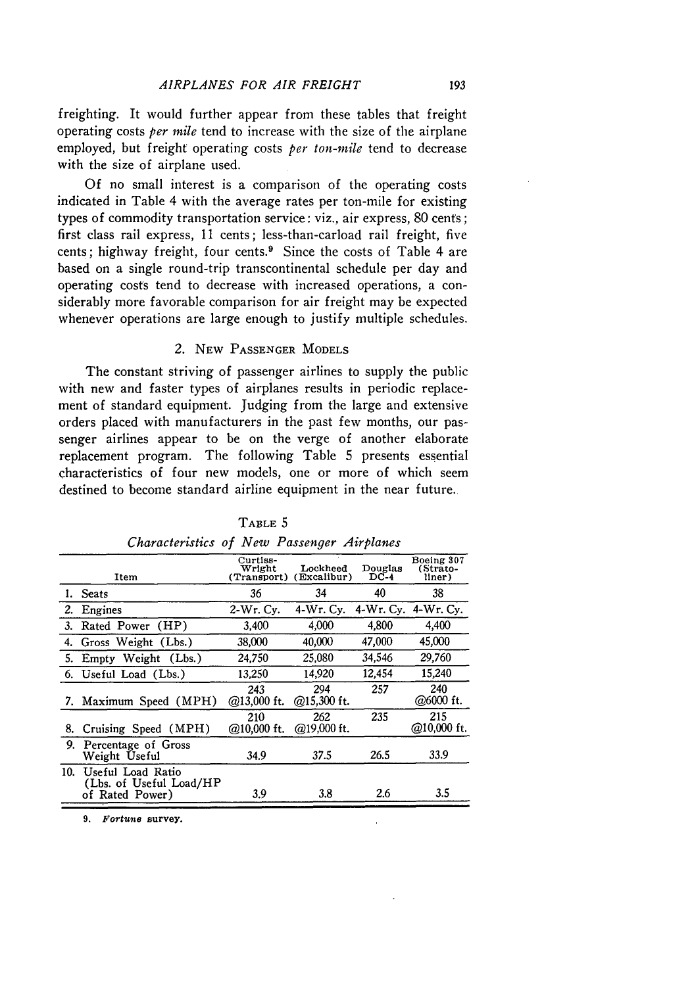freighting. It would further appear from these tables that freight operating costs *per mile* tend to increase with the size of the airplane employed, but freight operating costs *per ton-mile* tend to decrease with the size of airplane used.

Of no small interest is a comparison of the operating costs indicated in Table 4 with the average rates per ton-mile for existing types of commodity transportation service: viz., air express, 80 cents; first class rail express, 11 cents; less-than-carload rail freight, five cents; highway freight, four cents. $9$  Since the costs of Table 4 are based on a single round-trip transcontinental schedule per day and operating costs tend to decrease with increased operations, a considerably more favorable comparison for air freight may be expected whenever operations are large enough to justify multiple schedules.

## 2. **NEW PASSENGER MODELS**

The constant striving of passenger airlines to supply the public with new and faster types of airplanes results in periodic replacement of standard equipment. Judging from the large and extensive orders placed with manufacturers in the past few months, our passenger airlines appear to be on the verge of another elaborate replacement program. The following Table 5 presents essential characteristics of four new models, one or more of which seem destined to become standard airline equipment in the near future.

|     | Item                                                            | Curtiss-<br>Wright<br>(Transport) | Lockheed<br>(Excalibur) | Douglas<br>$DC-4$ | Boeing 307<br>(Strato-<br>liner) |
|-----|-----------------------------------------------------------------|-----------------------------------|-------------------------|-------------------|----------------------------------|
|     | 1. Seats                                                        | 36                                | 34                      | 40                | 38                               |
| 2.  | Engines                                                         | 2-Wr. Cv.                         | $4-Wr.$ Cy.             |                   | 4-Wr. Cv. 4-Wr. Cv.              |
|     | 3. Rated Power (HP)                                             | 3.400                             | 4.000                   | 4.800             | 4,400                            |
| 4.  | Gross Weight (Lbs.)                                             | 38,000                            | 40,000                  | 47,000            | 45.000                           |
| 5.  | Empty Weight (Lbs.)                                             | 24,750                            | 25,080                  | 34,546            | 29,760                           |
|     | 6. Useful Load (Lbs.)                                           | 13.250                            | 14,920                  | 12,454            | 15,240                           |
|     | 7. Maximum Speed (MPH)                                          | 243<br>$@13,000$ ft.              | 294<br>@15,300 ft.      | 257               | 240<br>@6000 ft.                 |
| 8.  | Cruising Speed (MPH)                                            | 210<br>@10,000 ft.                | 262<br>$@19,000$ ft.    | 235               | 215<br>@10,000 ft.               |
| 9.  | Percentage of Gross<br>Weight Useful                            | 34.9                              | 37.5                    | 26.5              | 33.9                             |
| 10. | Useful Load Ratio<br>(Lbs. of Useful Load/HP<br>of Rated Power) | 3.9                               | 3.8                     | 2.6               | 3.5                              |
|     |                                                                 |                                   |                         |                   |                                  |

TABLE 5 *Characteristics of New Passenger Airplanes*

**9. Fortune** survey.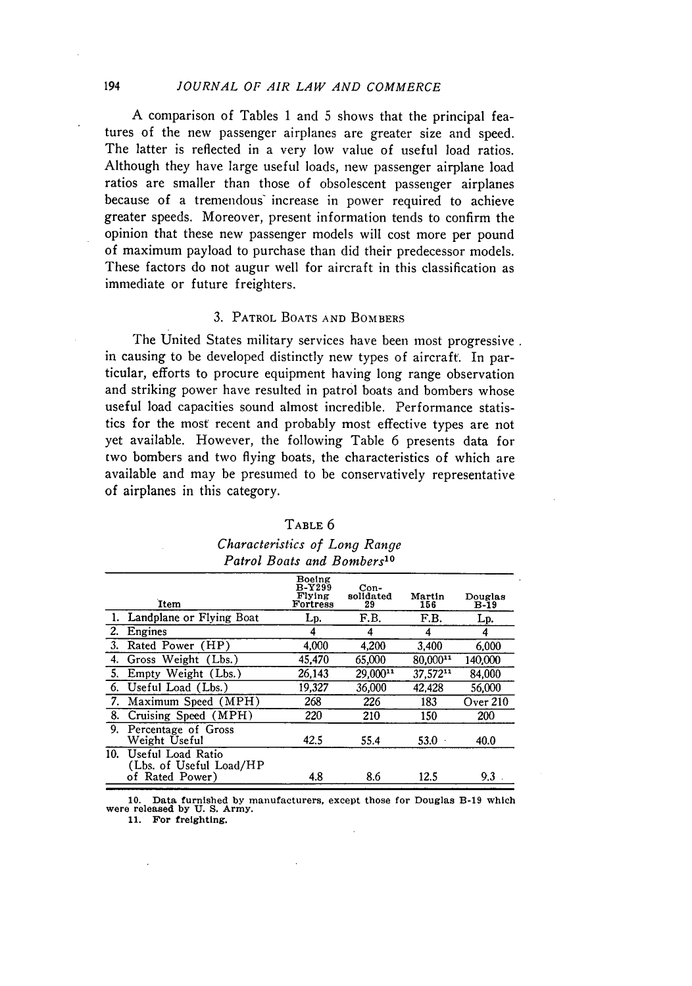# *JOURNAL OF AIR LAW AND COMMERCE*

**A** comparison of Tables 1 and 5 shows that the principal features of the new passenger airplanes are greater size and speed. The latter is reflected in a very low value of useful load ratios. Although they have large useful loads, new passenger airplane load ratios are smaller than those of obsolescent passenger airplanes because of a tremendous increase in power required to achieve greater speeds. Moreover, present information tends to confirm the opinion that these new passenger models will cost more per pound of maximum payload to purchase than did their predecessor models. These factors do not augur well for aircraft in this classification as immediate or future freighters.

#### 3. PATROL **BOATS AND** BOMBERS

The United States military services have been most progressive. in causing to be developed distinctly new types of aircraft. In particular, efforts to procure equipment having long range observation and striking power have resulted in patrol boats and bombers whose useful load capacities sound almost incredible. Performance statistics for the most recent and probably most effective types are not yet available. However, the following Table 6 presents data for two bombers and two flying boats, the characteristics of which are available and may be presumed to be conservatively representative of airplanes in this category.

| R<br>щ<br>۱. |  |
|--------------|--|
|--------------|--|

*Characteristics of Long Range Patrol Boats and Bombers'0*

|     | <b>Item</b>                                                      | Boeing<br><b>B-Y299</b><br>Flying<br>Fortress | Con-<br>solidated<br>29 | Martin<br>156          | Douglas<br>B-19 |
|-----|------------------------------------------------------------------|-----------------------------------------------|-------------------------|------------------------|-----------------|
|     | Landplane or Flying Boat                                         | Lp.                                           | F.B.                    | F.B.                   | Lp.             |
| 2.  | Engines                                                          | 4                                             | 4                       | 4                      | 4               |
| 3.  | Rated Power (HP)                                                 | 4,000                                         | 4.200                   | 3.400                  | 6.000           |
|     | Gross Weight (Lbs.)                                              | 45.470                                        | 65.000                  | $80,000$ <sup>11</sup> | 140,000         |
| 5.  | Empty Weight (Lbs.)                                              | 26.143                                        | $29.000^{11}$           | 37.57211               | 84.000          |
| 6.  | Useful Load (Lbs.)                                               | 19,327                                        | 36.000                  | 42.428                 | 56,000          |
| 7.  | Maximum Speed (MPH)                                              | 268                                           | 226                     | 183                    | Over 210        |
| 8.  | Cruising Speed (MPH)                                             | 220                                           | 210                     | 150                    | 200             |
| 9.  | Percentage of Gross<br>Weight Useful                             | 42.5                                          | 55.4                    | 53.0                   | 40.0            |
| 10. | Useful Load Ratio<br>(Lbs. of Useful Load/HP)<br>of Rated Power) | 4.8                                           | 8.6                     | 12.5                   | 9.3             |

**10.** Data furnished **by** manufacturers, except **those for** Douglas **B-19 which were released by U. S.** Army.

**11. For freighting.**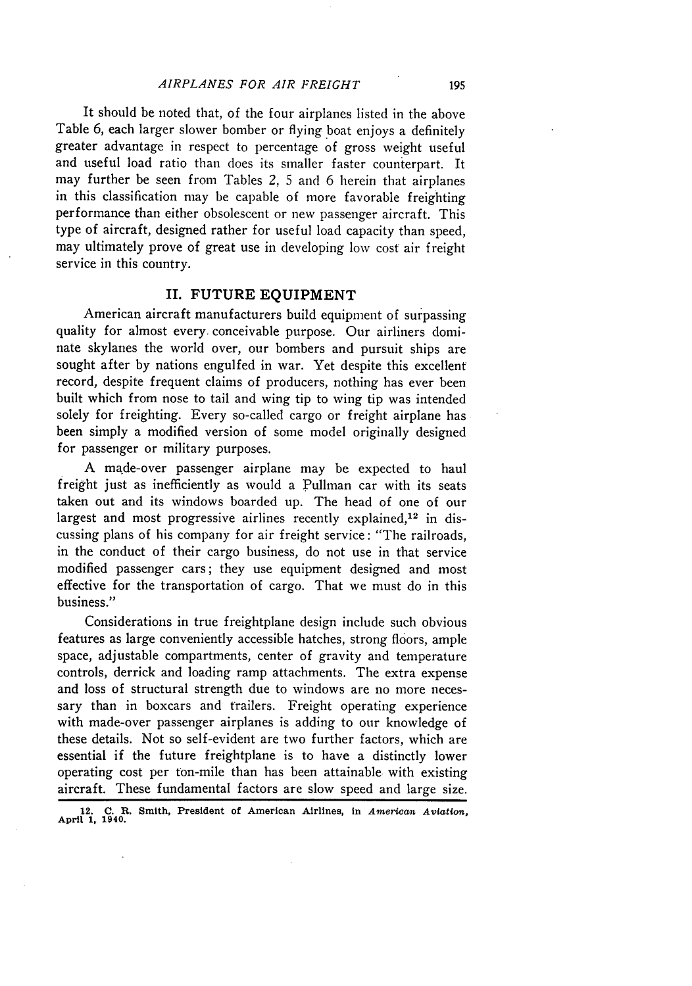It should be noted that, of the four airplanes listed in the above Table 6, each larger slower bomber or flying boat enjoys a definitely greater advantage in respect to percentage of gross weight useful and useful load ratio than does its smaller faster counterpart. It may further be seen from Tables 2, 5 and 6 herein that airplanes in this classification may be capable of more favorable freighting performance than either obsolescent or new passenger aircraft. This type of aircraft, designed rather for useful load capacity than speed, may ultimately prove of great use in developing low cost air freight service in this country.

#### **II. FUTURE EQUIPMENT**

American aircraft manufacturers build equipment of surpassing quality for almost every. conceivable purpose. Our airliners dominate skylanes the world over, our bombers and pursuit ships are sought after by nations engulfed in war. Yet despite this excellent record, despite frequent claims of producers, nothing has ever been built which from nose to tail and wing tip to wing tip was intended solely for freighting. Every so-called cargo or freight airplane has been simply a modified version of some model originally designed for passenger or military purposes.

A made-over passenger airplane may be expected to haul freight just as inefficiently as would a Pullman car with its seats taken out and its windows boarded up. The head of one of our largest and most progressive airlines recently explained,<sup>12</sup> in discussing plans of his company for air freight service: "The railroads, in the conduct of their cargo business, do not use in that service modified passenger cars; they use equipment designed and most effective for the transportation of cargo. That we must do in this business."

Considerations in true freightplane design include such obvious features as large conveniently accessible hatches, strong floors, ample space, adjustable compartments, center of gravity and temperature controls, derrick and loading ramp attachments. The extra expense and loss of structural strength due to windows are no more necessary than in boxcars and trailers. Freight operating experience with made-over passenger airplanes is adding to our knowledge of these details. Not so self-evident are two further factors, which are essential if the future freightplane is to have a distinctly lower operating cost per ton-mile than has been attainable with existing aircraft. These fundamental factors are slow speed and large size.

**12. C. R. Smith,** President of American **Airlines, in** *American Aviation,* **April 1, 1940.**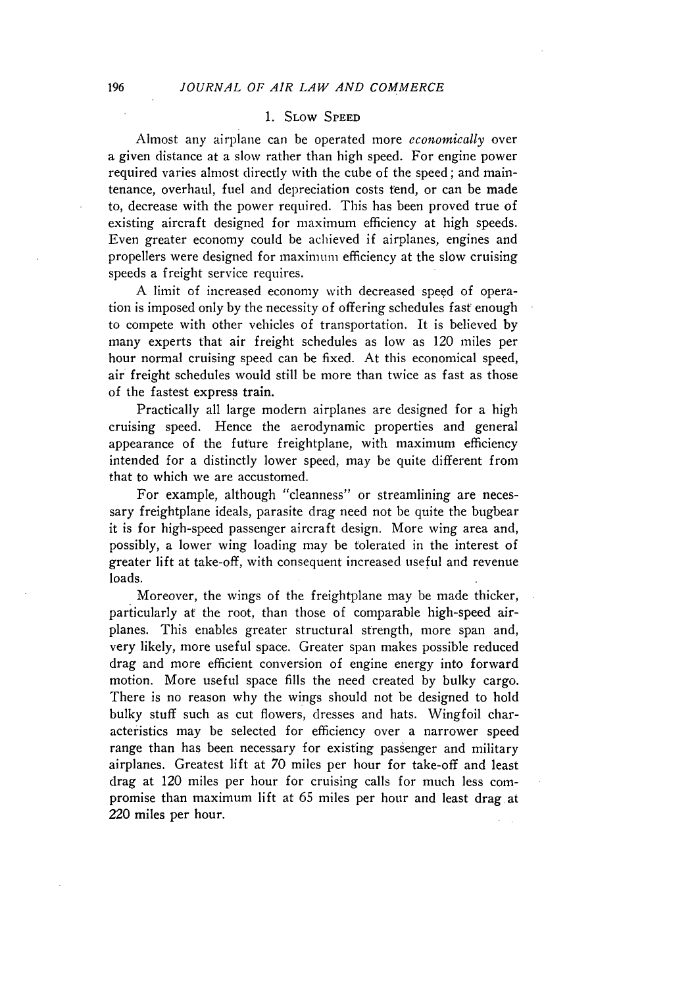# **1.** SLow **SPEED**

Almost any airplane can be operated more *economically* over a given distance at a slow rather than high speed. For engine power required varies almost directly with the cube of the speed; and maintenance, overhaul, fuel and depreciation costs tend, or can be made to, decrease with the power required. This has been proved true of existing aircraft designed for maximum efficiency at high speeds. Even greater economy could be achieved if airplanes, engines and propellers were designed for maximum efficiency at the slow cruising speeds a freight service requires.

A limit of increased economy with decreased speed of operation is imposed only by the necessity of offering schedules fast enough to compete with other vehicles of transportation. It is believed by many experts that air freight schedules as low as 120 miles per hour normal cruising speed can be fixed. At this economical speed, air freight schedules would still be more than twice as fast as those of the fastest express train.

Practically all large modern airplanes are designed for a high cruising speed. Hence the aerodynamic properties and general appearance of the future freightplane, with maximum efficiency intended for a distinctly lower speed, may be quite different from that to which we are accustomed.

For example, although "cleanness" or streamlining are necessary freightplane ideals, parasite drag need not be quite the bugbear it is for high-speed passenger aircraft design. More wing area and, possibly, a lower wing loading may be tolerated in the interest of greater lift at take-off, with consequent increased useful and revenue loads.

Moreover, the wings of the freightplane may be made thicker, particularly at the root, than those of comparable high-speed airplanes. This enables greater structural strength, more span and, very likely, more useful space. Greater span makes possible reduced drag and more efficient conversion of engine energy into forward motion. More useful space fills the need created by bulky cargo. There is no reason why the wings should not be designed to hold bulky stuff such as cut flowers, dresses and hats. Wingfoil characteristics may be selected for efficiency over a narrower speed range than has been necessary for existing passenger and military airplanes. Greatest lift at 70 miles per hour for take-off and least drag at 120 miles per hour for cruising calls for much less compromise than maximum lift at 65 miles per hour and least drag at 220 miles per hour.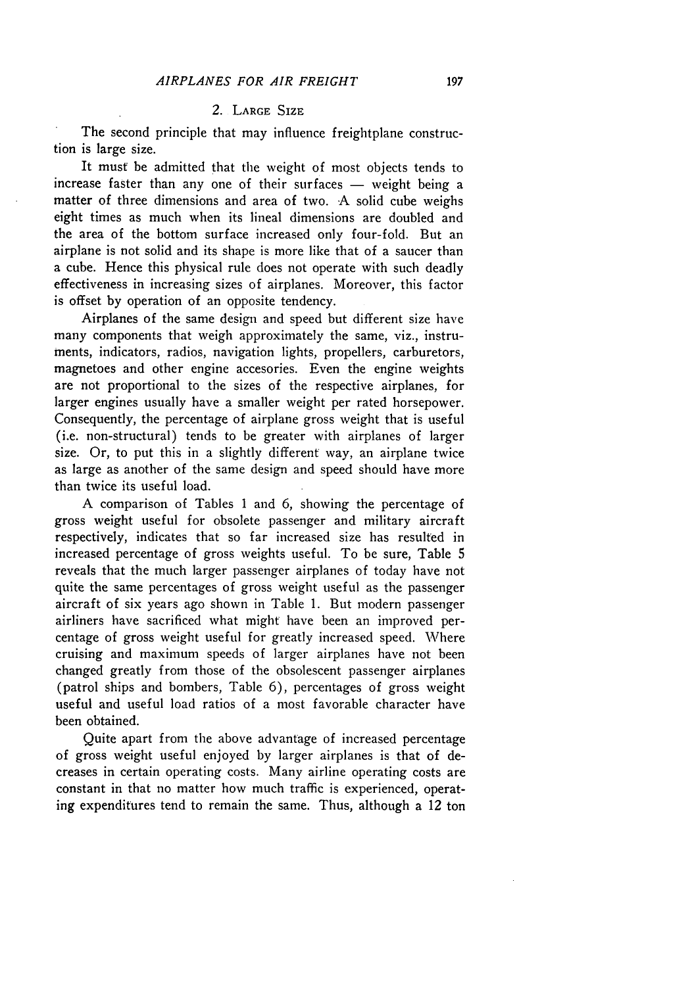# 2. LARGE SIZE

The second principle that may influence freightplane construction is large size.

It must be admitted that the weight of most objects tends to increase faster than any one of their surfaces  $-$  weight being a matter of three dimensions and area of two. A solid cube weighs eight times as much when its lineal dimensions are doubled and the area of the bottom surface increased only four-fold. But an airplane is not solid and its shape is more like that of a saucer than a cube. Hence this physical rule does not operate with such deadly effectiveness in increasing sizes of airplanes. Moreover, this factor is offset by operation of an opposite tendency.

Airplanes of the same design and speed but different size have many components that weigh approximately the same, viz., instruments, indicators, radios, navigation lights, propellers, carburetors, magnetoes and other engine accesories. Even the engine weights are not proportional to the sizes of the respective airplanes, for larger engines usually have a smaller weight per rated horsepower. Consequently, the percentage of airplane gross weight that is useful (i.e. non-structural) tends to be greater with airplanes of larger size. Or, to put this in a slightly different way, an airplane twice as large as another of the same design and speed should have more than twice its useful load.

A comparison of Tables 1 and 6, showing the percentage of gross weight useful for obsolete passenger and military aircraft respectively, indicates that so far increased size has resulted in increased percentage of gross weights useful. To be sure, Table 5 reveals that the much larger passenger airplanes of today have not quite the same percentages of gross weight useful as the passenger aircraft of six years ago shown in Table 1. But modern passenger airliners have sacrificed what might have been an improved percentage of gross weight useful for greatly increased speed. Where cruising and maximum speeds of larger airplanes have not been changed greatly from those of the obsolescent passenger airplanes (patrol ships and bombers, Table 6), percentages of gross weight useful and useful load ratios of a most favorable character have been obtained.

Quite apart from the above advantage of increased percentage of gross weight useful enjoyed by larger airplanes is that of decreases in certain operating costs. Many airline operating costs are constant in that no matter how much traffic is experienced, operating expenditures tend to remain the same. Thus, although a 12 ton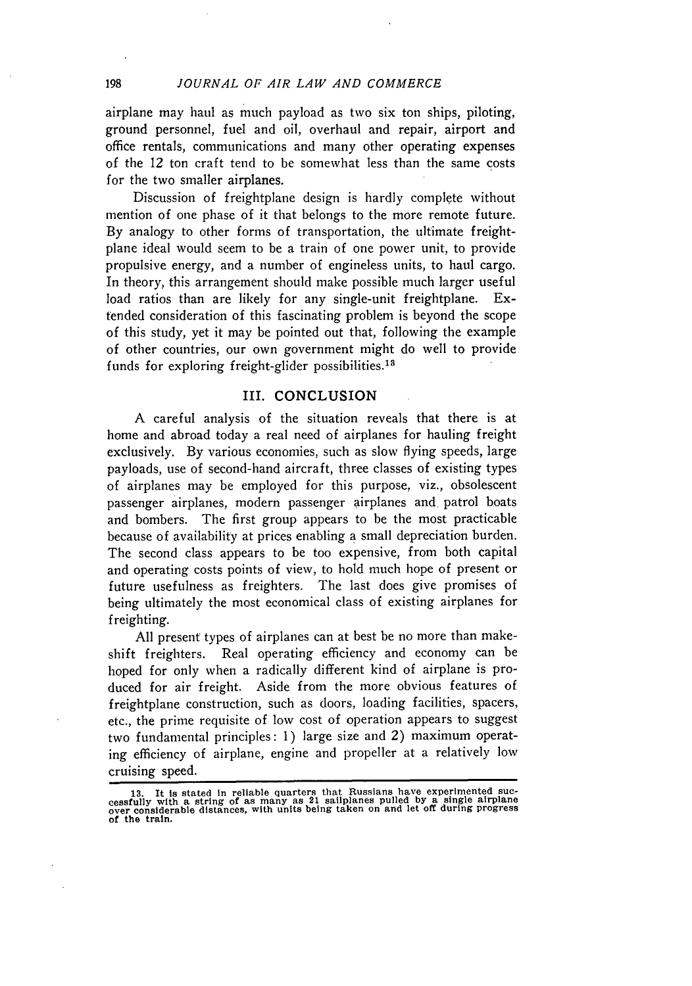airplane may haul as much payload as two six ton ships, piloting, ground personnel, fuel and oil, overhaul and repair, airport and office rentals, communications and many other operating expenses of the 12 ton craft tend to be somewhat less than the same costs for the two smaller airplanes.

Discussion of freightplane design is hardly complete without mention of one phase of it that belongs to the more remote future. By analogy to other forms of transportation, the ultimate freightplane ideal would seem to be a train of one power unit, to provide propulsive energy, and a number of engineless units, to haul cargo. In theory, this arrangement should make possible much larger useful load ratios than are likely for any single-unit freightplane. Extended consideration of this fascinating problem is beyond the scope of this study, yet it may be pointed out that, following the example of other countries, our own government might do well to provide funds for exploring freight-glider possibilities.18

#### III. CONCLUSION

A careful analysis of the situation reveals that there is at home and abroad today a real need of airplanes for hauling freight exclusively. By various economies, such as slow flying speeds, large payloads, use of second-hand aircraft, three classes of existing types of airplanes may be employed for this purpose, viz., obsolescent passenger airplanes, modern passenger airplanes and patrol boats and bombers. The first group appears to be the most practicable because of availability at prices enabling a small depreciation burden. The second class appears to be too expensive, from both capital and operating costs points of view, to hold much hope of present or future usefulness as freighters. The last does give promises of being ultimately the most economical class of existing airplanes for freighting.

All present types of airplanes can at best be no more than makeshift freighters. Real operating efficiency and economy can be hoped for only when a radically different kind of airplane is produced for air freight. Aside from the more obvious features of freightplane construction, such as doors, loading facilities, spacers, etc., the prime requisite of low cost of operation appears to suggest two fundamental principles: 1) large size and 2) maximum operating efficiency of airplane, engine and propeller at a relatively low cruising speed.

<sup>13.</sup> It is stated in reliable quarters that Russians have experimented successfully with a string of as many as 21 sailplanes pulled by a single airplane<br>over considerable distances, with units being taken on and let off du of **the** train.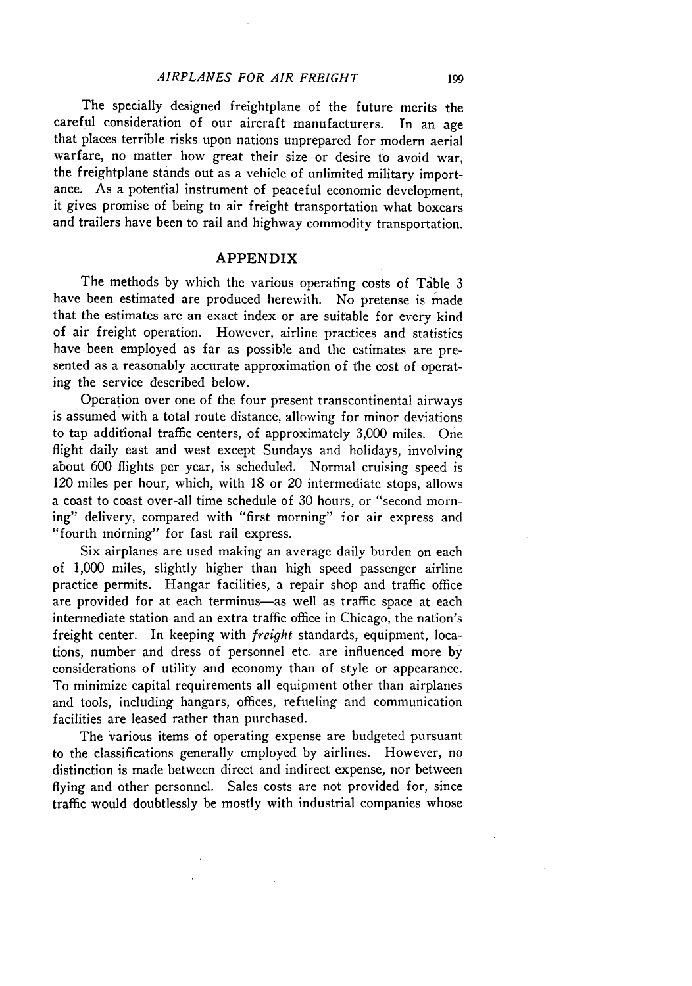The specially designed freightplane of the future merits the careful consideration of our aircraft manufacturers. In an age that places terrible risks upon nations unprepared for modern aerial warfare, no matter how great their size or desire to avoid war, the freightplane stands out as a vehicle of unlimited military importance. As a potential instrument of peaceful economic development, it gives promise of being to air freight transportation what boxcars and trailers have been to rail and highway commodity transportation.

## **APPENDIX**

The methods by which the various operating costs of Table 3 have been estimated are produced herewith. No pretense is made that the estimates are an exact index or are suitable for every kind of air freight operation. However, airline practices and statistics have been employed as far as possible and the estimates are presented as a reasonably accurate approximation of the cost of operating the service described below.

Operation over one of the four present transcontinental airways is assumed with a total route distance, allowing for minor deviations to tap additional traffic centers, of approximately 3,000 miles. One flight daily east and west except Sundays and holidays, involving about 600 flights per year, is scheduled. Normal cruising speed is 120 miles per hour, which, with 18 or 20 intermediate stops, allows a coast to coast over-all time schedule of 30 hours, or "second morning" delivery, compared with "first morning" for air express and "fourth morning" for fast rail express.

Six airplanes are used making an average daily burden on each of 1,000 miles, slightly higher than high speed passenger airline practice permits. Hangar facilities, a repair shop and traffic office are provided for at each terminus-as well as traffic space at each intermediate station and an extra traffic office in Chicago, the nation's freight center. In keeping with *freight* standards, equipment, locations, number and dress of personnel etc. are influenced more by considerations of utility and economy than of style or appearance. To minimize capital requirements all equipment other than airplanes and tools, including hangars, offices, refueling and communication facilities are leased rather than purchased.

The various items of operating expense are budgeted pursuant to the classifications generally employed by airlines. However, no distinction is made between direct and indirect expense, nor between flying and other personnel. Sales costs are not provided for, since traffic would doubtlessly be mostly with industrial companies whose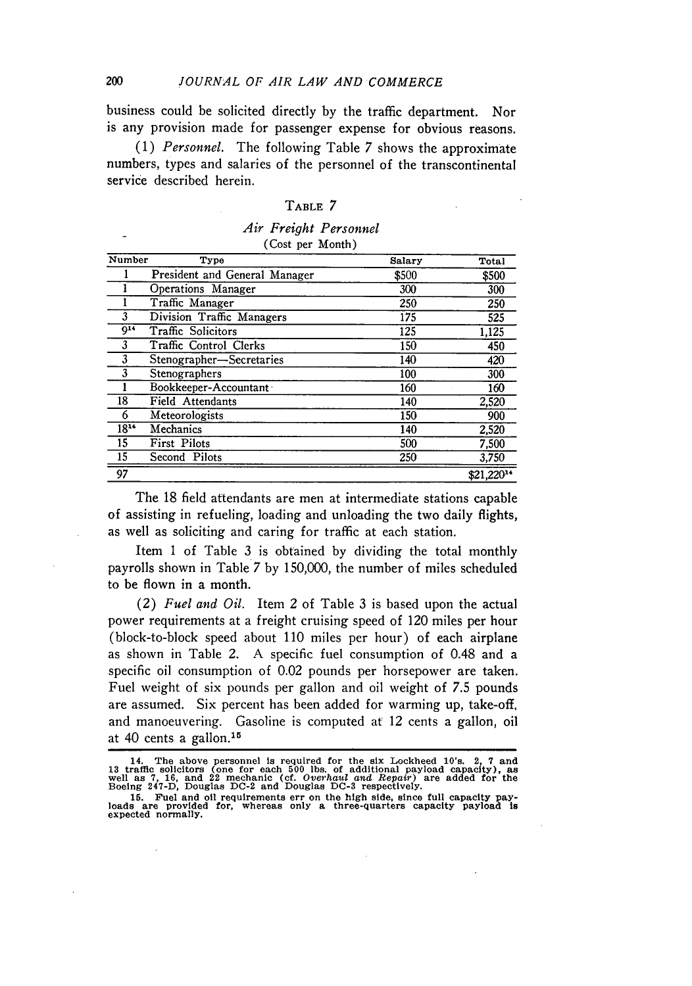business could be solicited directly **by** the traffic department. Nor is any provision made for passenger expense for obvious reasons.

*(1) Personnel.* The following Table 7 shows the approximate numbers, types and salaries of the personnel of the transcontinental service described herein.

#### **TABLE** 7

#### *Air Freight Personnel* (Cost per Month)

| Number    | Type                          | Salary | Total      |
|-----------|-------------------------------|--------|------------|
|           | President and General Manager | \$500  | \$500      |
|           | Operations Manager            | 300    | 300        |
|           | Traffic Manager               | 250    | 250        |
|           | Division Traffic Managers     | 175    | 525        |
| $^{014}$  | Traffic Solicitors            | 125    | 1,125      |
| 3         | Traffic Control Clerks        | 150    | 450        |
| 3         | Stenographer-Secretaries      | 140    | 420        |
| 3         | Stenographers                 | 100    | 300        |
|           | Bookkeeper-Accountant         | 160    | 160        |
| 18        | Field Attendants              | 140    | 2,520      |
| 6         | Meteorologists                | 150    | 900        |
| $18^{14}$ | Mechanics                     | 140    | 2,520      |
| 15        | First Pilots                  | 500    | 7,500      |
| 15        | Second Pilots                 | 250    | 3,750      |
| 97        |                               |        | \$21,22014 |

The 18 field attendants are men at intermediate stations capable of assisting in refueling, loading and unloading the two daily flights, as well as soliciting and caring for traffic at each station.

Item 1 of Table 3 is obtained **by** dividing the total monthly payrolls shown in Table 7 by 150,000, the number of miles scheduled to be flown in a month.

(2) *Fuel and Oil.* Item 2 of Table 3 is based upon the actual power requirements at a freight cruising speed of 120 miles per hour (block-to-block speed about 110 miles per hour) of each airplane as shown in Table 2. A specific fuel consumption of 0.48 and a specific oil consumption of 0.02 pounds per horsepower are taken. Fuel weight of six pounds per gallon and oil weight of 7.5 pounds are assumed. Six percent has been added for warming up, take-off, and manoeuvering. Gasoline is computed at 12 cents a gallon, oil at 40 cents a gallon. $15$ 

<sup>14.</sup> The above personnel is required for the six Lockheed 10's. 2, 7 and<br>13 traffic solicitors (one for each 500 lbs. of additional payload capacity), as<br>well as 7, 16, and 22 mechanic (cf. Overhaul and Repair) are added fo

**<sup>15.</sup> Fuel and oil** requirements err on **the high** side, **since** full capacity pay- **loads are** provided for, **whereas** only **a** three-quarters capacity payload is expected normally.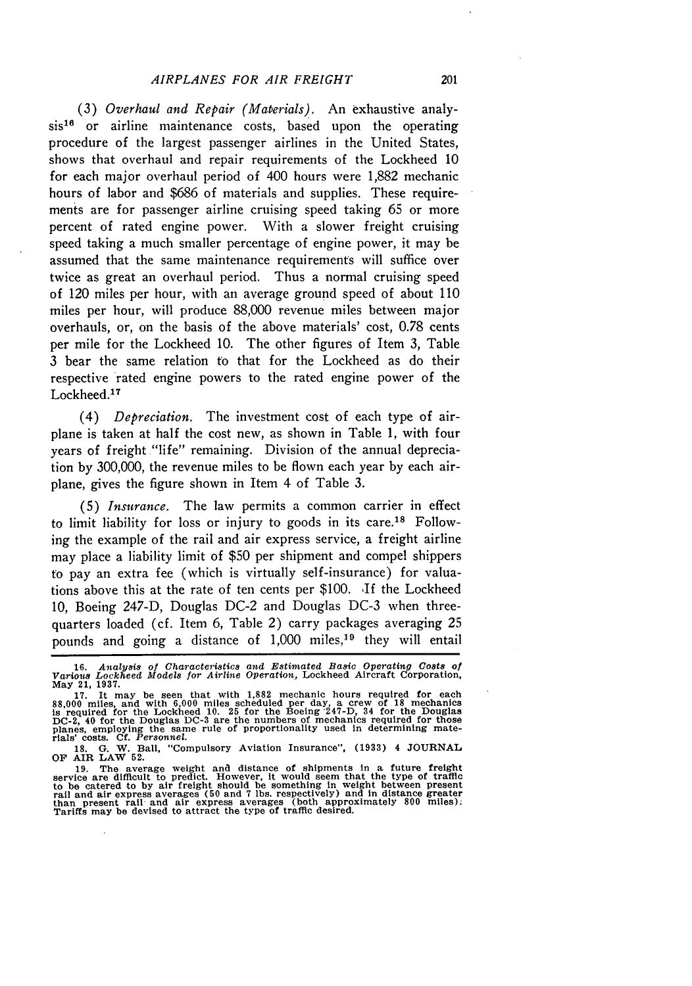(3) *Overhaul and Repair (Materials).* An exhaustive analy $sis^{16}$  or airline maintenance costs, based upon the operating procedure of the largest passenger airlines in the United States, shows that overhaul and repair requirements of the Lockheed 10 for each major overhaul period of 400 hours were 1,882 mechanic hours of labor and \$686 of materials and supplies. These requirements are for passenger airline cruising speed taking 65 or more percent of rated engine power. With a slower freight cruising speed taking a much smaller percentage of engine power, it may be assumed that the same maintenance requirements will suffice over twice as great an overhaul period. Thus a normal cruising speed of 120 miles per hour, with an average ground speed of about 110 miles per hour, will produce 88,000 revenue miles between major overhauls, or, on the basis of the above materials' cost, 0.78 cents per mile for the Lockheed 10. The other figures of Item 3, Table 3 bear the same relation to that for the Lockheed as do their respective rated engine powers to the rated engine power of the Lockheed.<sup>17</sup>

(4) *Depreciation.* The investment cost of each type of airplane is taken at half the cost new, as shown in Table 1, with four years of freight "life" remaining. Division of the annual depreciation by 300,000, the revenue miles to be flown each year by each airplane, gives the figure shown in Item 4 of Table 3.

**(5)** *Insurance.* The law permits a common carrier in effect to limit liability for loss or injury to goods in its care.<sup>18</sup> Following the example of the rail and air express service, a freight airline may place a liability limit of \$50 per shipment and compel shippers to pay an extra fee (which is virtually self-insurance) for valuations above this at the rate of ten cents per \$100. If the Lockheed 10, Boeing 247-D, Douglas DC-2 and Douglas DC-3 when threequarters loaded (cf. Item 6, Table 2) carry packages averaging 25 pounds and going a distance of 1,000 miles,<sup>19</sup> they will entail

**<sup>16.</sup>** *Analysis of Characteristics and Estimated Basic Operating* Costs *of Various Lockheed Models for Airline Operation,* Lockheed Aircraft Corporation, **May** 21, **1937.**

<sup>17.</sup> It may be seen that with 1,882 mechanic hours required for each<br>88,000 miles, and with 6,000 miles scheduled per day, a crew of 18 mechanics<br>is required for the Lockheed 10. 25 for the Boeing 247-D, 34 for the Douglas<br>

<sup>19.</sup> The average weight and distance of shipments in a future freight service are difficult to predict. However, it would seem that the type of trafficient to be catered to by air freight should be something in weight betwe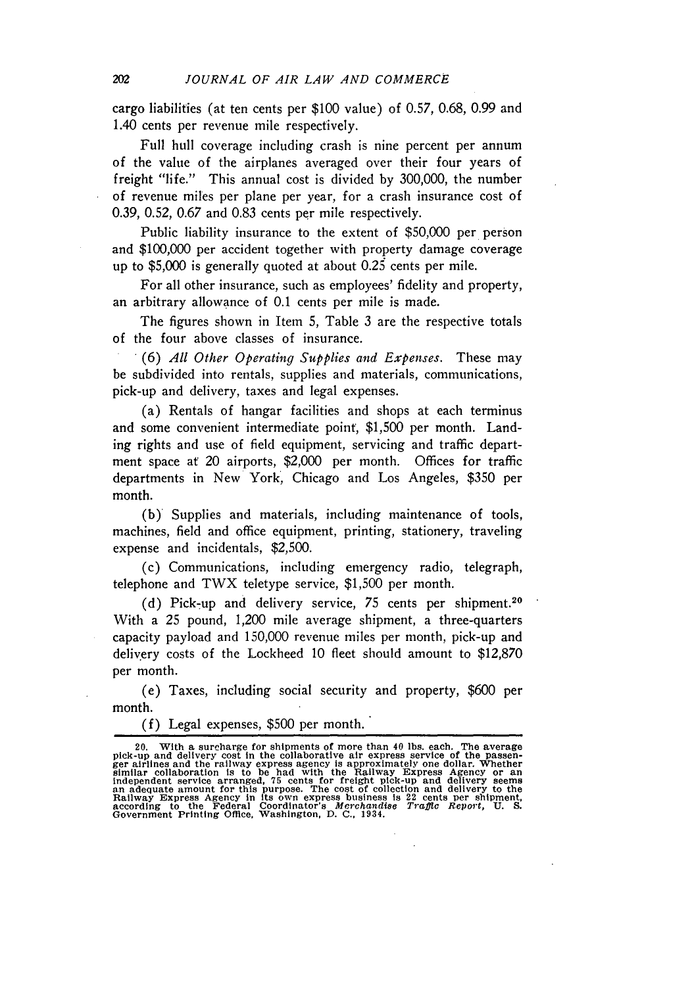cargo liabilities (at ten cents per \$100 value) of 0.57, 0.68, 0.99 and 1.40 cents per revenue mile respectively.

Full hull coverage including crash is nine percent per annum of the value of the airplanes averaged over their four years of freight "life." This annual cost is divided by 300,000, the number of revenue miles per plane per year, for a crash insurance cost of 0.39, 0.52, 0.67 and 0.83 cents per mile respectively.

Public liability insurance to the extent of \$50,000 per person and \$100,000 per accident together with property damage coverage up to \$5,000 is generally quoted at about 0.25 cents per mile.

For all other insurance, such as employees' fidelity and property, an arbitrary allowance of 0.1 cents per mile is made.

The figures shown in Item 5, Table 3 are the respective totals of the four above classes of insurance.

(6) *All Other Operating Supplies and Expenses.* These may be subdivided into rentals, supplies and materials, communications, pick-up and delivery, taxes and legal expenses.

(a) Rentals of hangar facilities and shops at each terminus and some convenient intermediate point, \$1,500 per month. Landing rights and use of field equipment, servicing and traffic department space at 20 airports, \$2,000 per month. Offices for traffic departments in New York, Chicago and Los Angeles, \$350 per month.

(b) Supplies and materials, including maintenance of tools, machines, field and office equipment, printing, stationery, traveling expense and incidentals, \$2,500.

(c) Communications, including emergency radio, telegraph, telephone and TWX teletype service, \$1,500 per month.

(d) Pick-up and delivery service,  $75$  cents per shipment.<sup>20</sup> With a 25 pound, 1,200 mile average shipment, a three-quarters capacity payload and 150,000 revenue miles per month, pick-up and delivery costs of the Lockheed 10 fleet should amount to \$12,870 per month.

(e) Taxes, including social security and property, \$600 per month.

(f) Legal expenses, \$500 per month.

<sup>20.</sup> With a surcharge for shipments of more than 40 lbs. each. The average<br>pick-up and delivery cost in the collaborative air express service of the passen-<br>ger airlines and the railway express agency is approximately one